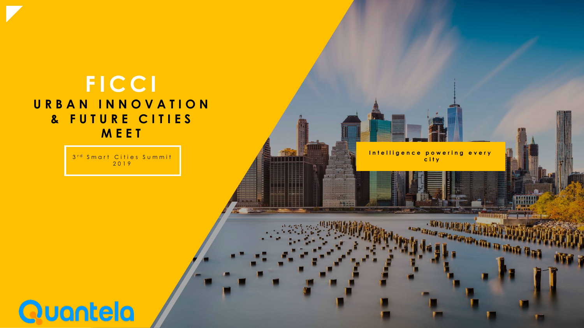### **FICCI** URBAN INNOVATION & FUTURE CITIES MEET

3rd Smart Cities Summit 2019

Intelligence powering every city

**. We a gained!** 

NATIONAL PROPERTY AND THE TAX

mm

**Quantela**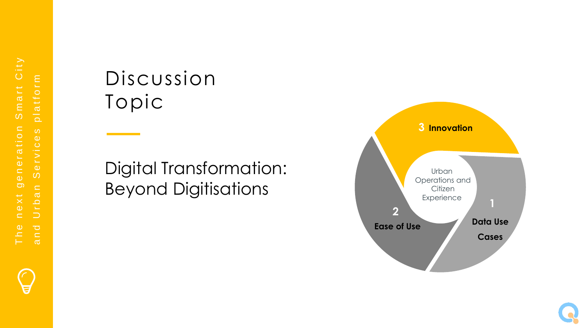

## Discussion Topic

### Digital Transformation: Beyond Digitisations



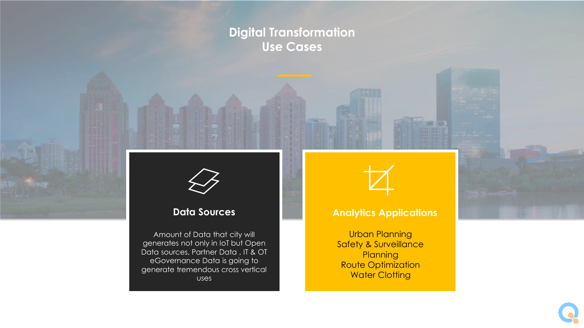### **Digital Transformation Use Cases**



#### **Data Sources**

Amount of Data that city will generates not only in IoT but Open Data sources, Partner Data , IT & OT eGovernance Data is going to generate tremendous cross vertical uses



#### **Analytics Applications**

Urban Planning Safety & Surveillance **Planning** Route Optimization **Water Clotting**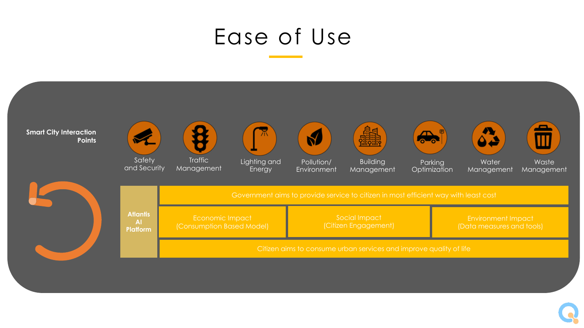## Ease of Use

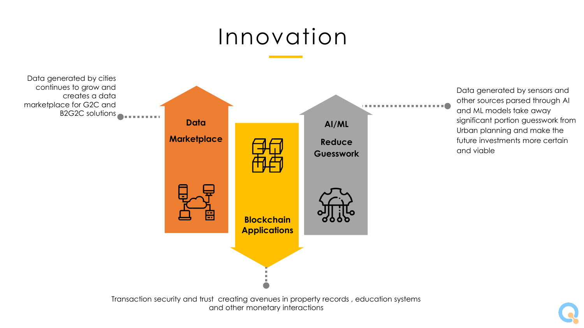# Innovation



Data generated by sensors and other sources parsed through AI and ML models take away significant portion guesswork from Urban planning and make the future investments more certain and viable

Transaction security and trust creating avenues in property records , education systems and other monetary interactions